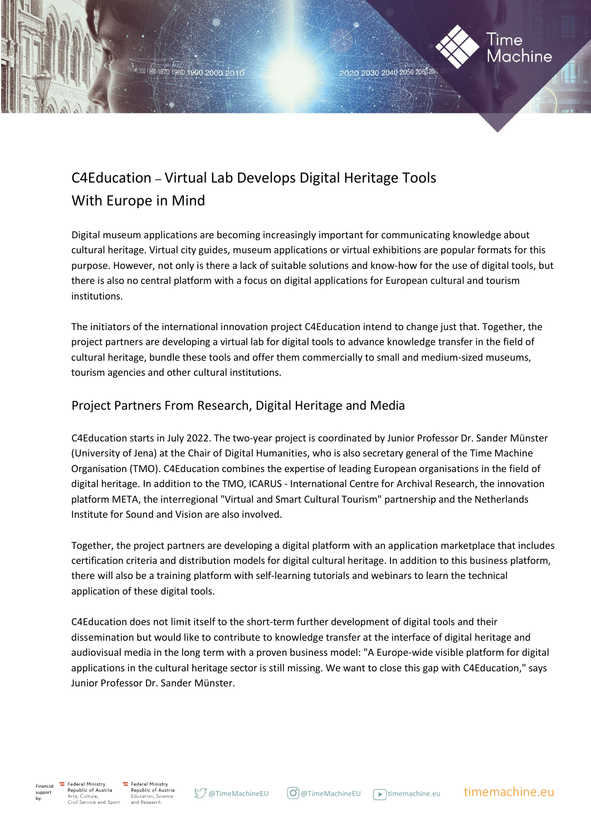

## C4Education – Virtual Lab Develops Digital Heritage Tools With Europe in Mind

1950 1960 1970 1980 1990 2000 2010

Digital museum applications are becoming increasingly important for communicating knowledge about cultural heritage. Virtual city guides, museum applications or virtual exhibitions are popular formats for this purpose. However, not only is there a lack of suitable solutions and know-how for the use of digital tools, but there is also no central platform with a focus on digital applications for European cultural and tourism institutions.

2020 2030 2040 2050 2060 2

The initiators of the international innovation project C4Education intend to change just that. Together, the project partners are developing a virtual lab for digital tools to advance knowledge transfer in the field of cultural heritage, bundle these tools and offer them commercially to small and medium-sized museums, tourism agencies and other cultural institutions.

## Project Partners From Research, Digital Heritage and Media

C4Education starts in July 2022. The two-year project is coordinated by Junior Professor Dr. Sander Münster (University of Jena) at the Chair of Digital Humanities, who is also secretary general of the Time Machine Organisation (TMO). C4Education combines the expertise of leading European organisations in the field of digital heritage. In addition to the TMO, ICARUS - International Centre for Archival Research, the innovation platform META, the interregional "Virtual and Smart Cultural Tourism" partnership and the Netherlands Institute for Sound and Vision are also involved.

Together, the project partners are developing a digital platform with an application marketplace that includes certification criteria and distribution models for digital cultural heritage. In addition to this business platform, there will also be a training platform with self-learning tutorials and webinars to learn the technical application of these digital tools.

C4Education does not limit itself to the short-term further development of digital tools and their dissemination but would like to contribute to knowledge transfer at the interface of digital heritage and audiovisual media in the long term with a proven business model: "A Europe-wide visible platform for digital applications in the cultural heritage sector is still missing. We want to close this gap with C4Education," says Junior Professor Dr. Sander Münster.

support by: